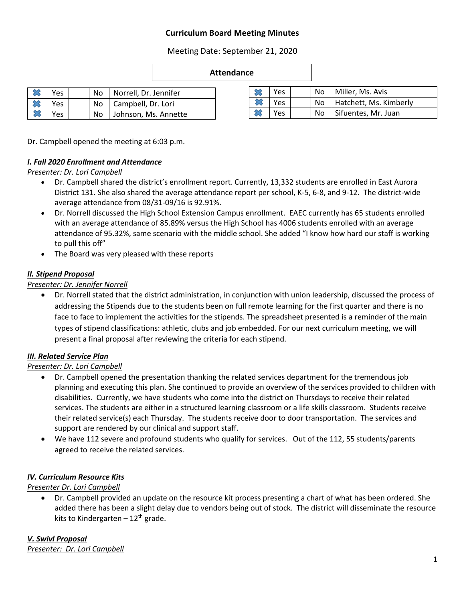# **Curriculum Board Meeting Minutes**

Meeting Date: September 21, 2020

#### **Attendance**

|   | $\triangleright$ $\otimes$ Yes |  | No   Norrell, Dr. Jennifer |
|---|--------------------------------|--|----------------------------|
|   | Yes                            |  | No   Campbell, Dr. Lori    |
| ╳ | Yes                            |  | No Johnson, Ms. Annette    |

| Yes |  | No   Miller, Ms. Avis       |
|-----|--|-----------------------------|
| Yes |  | No   Hatchett, Ms. Kimberly |
| Yes |  | No   Sifuentes, Mr. Juan    |

Dr. Campbell opened the meeting at 6:03 p.m.

#### *I. Fall 2020 Enrollment and Attendance*

*Presenter: Dr. Lori Campbell*

- Dr. Campbell shared the district's enrollment report. Currently, 13,332 students are enrolled in East Aurora District 131. She also shared the average attendance report per school, K-5, 6-8, and 9-12. The district-wide average attendance from 08/31-09/16 is 92.91%.
- Dr. Norrell discussed the High School Extension Campus enrollment. EAEC currently has 65 students enrolled with an average attendance of 85.89% versus the High School has 4006 students enrolled with an average attendance of 95.32%, same scenario with the middle school. She added "I know how hard our staff is working to pull this off"
- The Board was very pleased with these reports

# *II. Stipend Proposal*

#### *Presenter: Dr. Jennifer Norrell*

 Dr. Norrell stated that the district administration, in conjunction with union leadership, discussed the process of addressing the Stipends due to the students been on full remote learning for the first quarter and there is no face to face to implement the activities for the stipends. The spreadsheet presented is a reminder of the main types of stipend classifications: athletic, clubs and job embedded. For our next curriculum meeting, we will present a final proposal after reviewing the criteria for each stipend.

# *III. Related Service Plan*

# *Presenter: Dr. Lori Campbell*

- Dr. Campbell opened the presentation thanking the related services department for the tremendous job planning and executing this plan. She continued to provide an overview of the services provided to children with disabilities. Currently, we have students who come into the district on Thursdays to receive their related services. The students are either in a structured learning classroom or a life skills classroom. Students receive their related service(s) each Thursday. The students receive door to door transportation. The services and support are rendered by our clinical and support staff.
- We have 112 severe and profound students who qualify for services. Out of the 112, 55 students/parents agreed to receive the related services.

# *IV. Curriculum Resource Kits*

*Presenter Dr. Lori Campbell*

 Dr. Campbell provided an update on the resource kit process presenting a chart of what has been ordered. She added there has been a slight delay due to vendors being out of stock. The district will disseminate the resource kits to Kindergarten -  $12<sup>th</sup>$  grade.

*V. Swivl Proposal Presenter: Dr. Lori Campbell*